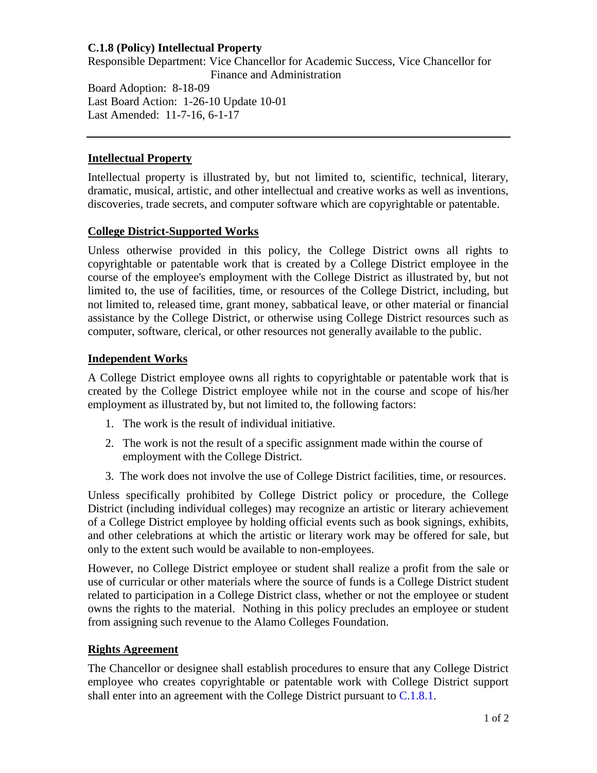# **C.1.8 (Policy) Intellectual Property**

Responsible Department: Vice Chancellor for Academic Success, Vice Chancellor for Finance and Administration

Board Adoption: 8-18-09 Last Board Action: 1-26-10 Update 10-01 Last Amended: 11-7-16, 6-1-17

# **Intellectual Property**

Intellectual property is illustrated by, but not limited to, scientific, technical, literary, dramatic, musical, artistic, and other intellectual and creative works as well as inventions, discoveries, trade secrets, and computer software which are copyrightable or patentable.

#### **College District-Supported Works**

Unless otherwise provided in this policy, the College District owns all rights to copyrightable or patentable work that is created by a College District employee in the course of the employee's employment with the College District as illustrated by, but not limited to, the use of facilities, time, or resources of the College District, including, but not limited to, released time, grant money, sabbatical leave, or other material or financial assistance by the College District, or otherwise using College District resources such as computer, software, clerical, or other resources not generally available to the public.

#### **Independent Works**

A College District employee owns all rights to copyrightable or patentable work that is created by the College District employee while not in the course and scope of his/her employment as illustrated by, but not limited to, the following factors:

- 1. The work is the result of individual initiative.
- 2. The work is not the result of a specific assignment made within the course of employment with the College District.
- 3. The work does not involve the use of College District facilities, time, or resources.

Unless specifically prohibited by College District policy or procedure, the College District (including individual colleges) may recognize an artistic or literary achievement of a College District employee by holding official events such as book signings, exhibits, and other celebrations at which the artistic or literary work may be offered for sale, but only to the extent such would be available to non-employees.

However, no College District employee or student shall realize a profit from the sale or use of curricular or other materials where the source of funds is a College District student related to participation in a College District class, whether or not the employee or student owns the rights to the material. Nothing in this policy precludes an employee or student from assigning such revenue to the Alamo Colleges Foundation.

#### **Rights Agreement**

The Chancellor or designee shall establish procedures to ensure that any College District employee who creates copyrightable or patentable work with College District support shall enter into an agreement with the College District pursuant to [C.1.8.1.](https://www.alamo.edu/siteassets/district/about-us/leadership/board-of-trustees/policies-pdfs/section-c/c.1.8.1-procedure.pdf)